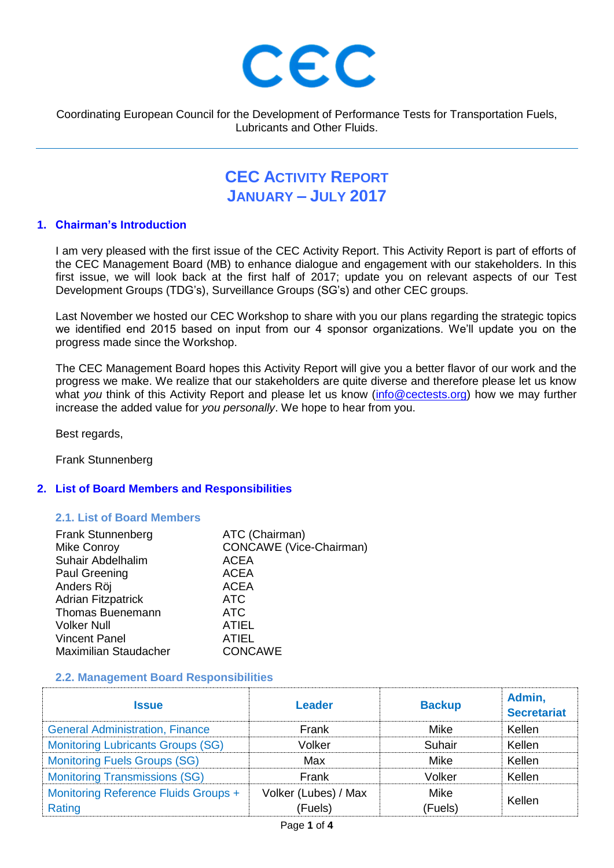

Coordinating European Council for the Development of Performance Tests for Transportation Fuels, Lubricants and Other Fluids.

# **CEC ACTIVITY REPORT JANUARY – JULY 2017**

## **1. Chairman's Introduction**

I am very pleased with the first issue of the CEC Activity Report. This Activity Report is part of efforts of the CEC Management Board (MB) to enhance dialogue and engagement with our stakeholders. In this first issue, we will look back at the first half of 2017; update you on relevant aspects of our Test Development Groups (TDG's), Surveillance Groups (SG's) and other CEC groups.

Last November we hosted our CEC Workshop to share with you our plans regarding the strategic topics we identified end 2015 based on input from our 4 sponsor organizations. We'll update you on the progress made since the Workshop.

The CEC Management Board hopes this Activity Report will give you a better flavor of our work and the progress we make. We realize that our stakeholders are quite diverse and therefore please let us know what *you* think of this Activity Report and please let us know [\(info@cectests.org\)](mailto:info@cectests.org) how we may further increase the added value for *you personally*. We hope to hear from you.

Best regards,

Frank Stunnenberg

# **2. List of Board Members and Responsibilities**

#### **2.1. List of Board Members**

| <b>Frank Stunnenberg</b>     | ATC (Chairman)                 |
|------------------------------|--------------------------------|
| <b>Mike Conroy</b>           | <b>CONCAWE</b> (Vice-Chairman) |
| Suhair Abdelhalim            | <b>ACEA</b>                    |
| Paul Greening                | <b>ACEA</b>                    |
| Anders Röj                   | <b>ACEA</b>                    |
| <b>Adrian Fitzpatrick</b>    | <b>ATC</b>                     |
| Thomas Buenemann             | ATC                            |
| <b>Volker Null</b>           | <b>ATIEL</b>                   |
| <b>Vincent Panel</b>         | <b>ATIEL</b>                   |
| <b>Maximilian Staudacher</b> | <b>CONCAWE</b>                 |
|                              |                                |

#### **2.2. Management Board Responsibilities**

| <b>Issue</b>                             | Leader               | <b>Backup</b> | Admin,<br><b>Secretariat</b> |
|------------------------------------------|----------------------|---------------|------------------------------|
| <b>General Administration, Finance</b>   | Frank                | Mike          | Kellen                       |
| <b>Monitoring Lubricants Groups (SG)</b> | Volker               | Suhair        | Kellen                       |
| <b>Monitoring Fuels Groups (SG)</b>      | Max                  | Mike          | Kellen                       |
| <b>Monitoring Transmissions (SG)</b>     | Frank                | Volker        | Kellen                       |
| Monitoring Reference Fluids Groups +     | Volker (Lubes) / Max | <b>Mike</b>   | Kellen                       |
| Rating                                   | (Fuels)              | (Fuels)       |                              |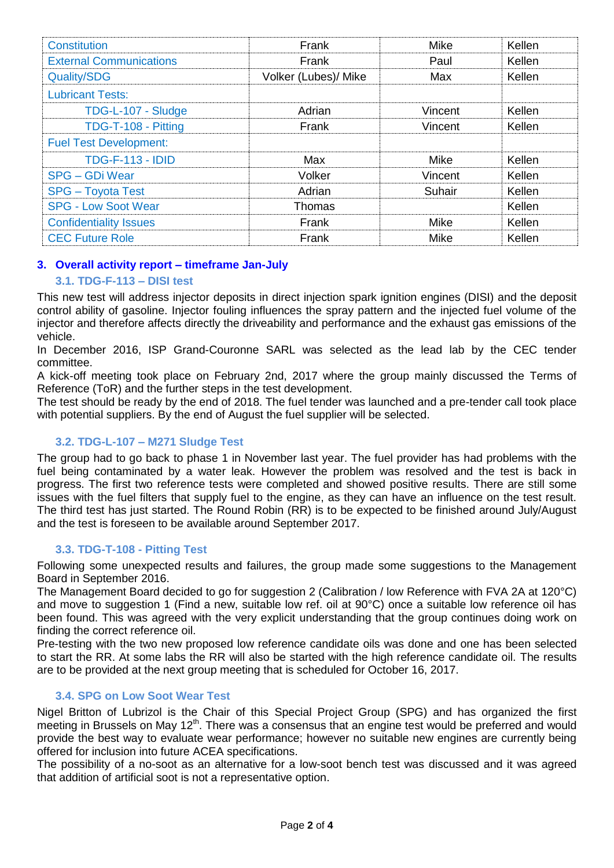| <b>Constitution</b>            | Frank                | Mike        | Kellen |
|--------------------------------|----------------------|-------------|--------|
| <b>External Communications</b> | Frank                | Paul        | Kellen |
| <b>Quality/SDG</b>             | Volker (Lubes)/ Mike | Max         | Kellen |
| <b>Lubricant Tests:</b>        |                      |             |        |
| TDG-L-107 - Sludge             | Adrian               | Vincent     | Kellen |
| TDG-T-108 - Pitting            | Frank                | Vincent     | Kellen |
| <b>Fuel Test Development:</b>  |                      |             |        |
| <b>TDG-F-113 - IDID</b>        | Max                  | Mike        | Kellen |
| <b>SPG - GDi Wear</b>          | Volker               | Vincent     | Kellen |
| <b>SPG</b> – Toyota Test       | Adrian               | Suhair      | Kellen |
| <b>SPG - Low Soot Wear</b>     | Thomas               |             | Kellen |
| <b>Confidentiality Issues</b>  | Frank                | <b>Mike</b> | Kellen |
| <b>CEC Future Role</b>         | Frank                | Mike        | Kellen |

# **3. Overall activity report – timeframe Jan-July**

# **3.1. TDG-F-113 – DISI test**

This new test will address injector deposits in direct injection spark ignition engines (DISI) and the deposit control ability of gasoline. Injector fouling influences the spray pattern and the injected fuel volume of the injector and therefore affects directly the driveability and performance and the exhaust gas emissions of the vehicle.

In December 2016, ISP Grand-Couronne SARL was selected as the lead lab by the CEC tender committee.

A kick-off meeting took place on February 2nd, 2017 where the group mainly discussed the Terms of Reference (ToR) and the further steps in the test development.

The test should be ready by the end of 2018. The fuel tender was launched and a pre-tender call took place with potential suppliers. By the end of August the fuel supplier will be selected.

# **3.2. TDG-L-107 – M271 Sludge Test**

The group had to go back to phase 1 in November last year. The fuel provider has had problems with the fuel being contaminated by a water leak. However the problem was resolved and the test is back in progress. The first two reference tests were completed and showed positive results. There are still some issues with the fuel filters that supply fuel to the engine, as they can have an influence on the test result. The third test has just started. The Round Robin (RR) is to be expected to be finished around July/August and the test is foreseen to be available around September 2017.

# **3.3. TDG-T-108 - Pitting Test**

Following some unexpected results and failures, the group made some suggestions to the Management Board in September 2016.

The Management Board decided to go for suggestion 2 (Calibration / low Reference with FVA 2A at 120°C) and move to suggestion 1 (Find a new, suitable low ref. oil at 90°C) once a suitable low reference oil has been found. This was agreed with the very explicit understanding that the group continues doing work on finding the correct reference oil.

Pre-testing with the two new proposed low reference candidate oils was done and one has been selected to start the RR. At some labs the RR will also be started with the high reference candidate oil. The results are to be provided at the next group meeting that is scheduled for October 16, 2017.

# **3.4. SPG on Low Soot Wear Test**

Nigel Britton of Lubrizol is the Chair of this Special Project Group (SPG) and has organized the first meeting in Brussels on May 12<sup>th</sup>. There was a consensus that an engine test would be preferred and would provide the best way to evaluate wear performance; however no suitable new engines are currently being offered for inclusion into future ACEA specifications.

The possibility of a no-soot as an alternative for a low-soot bench test was discussed and it was agreed that addition of artificial soot is not a representative option.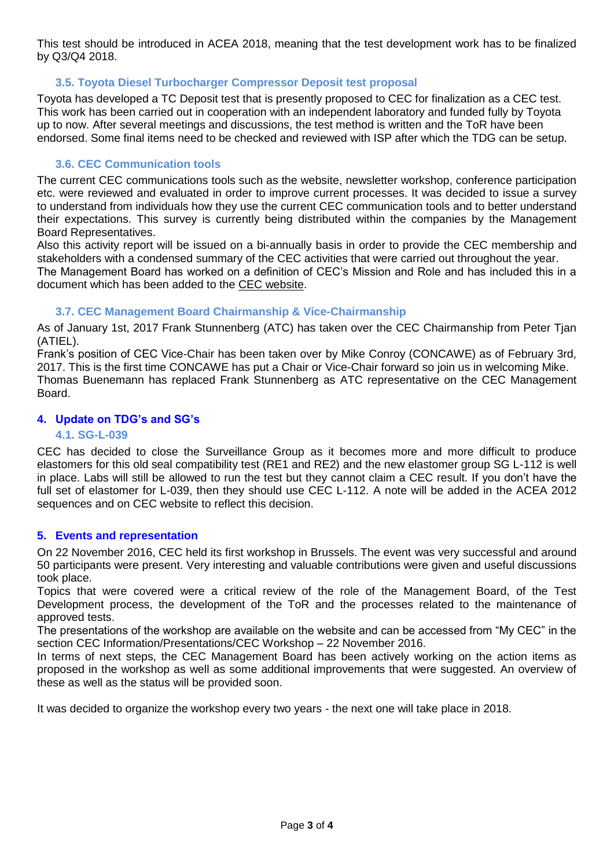This test should be introduced in ACEA 2018, meaning that the test development work has to be finalized by Q3/Q4 2018.

# **3.5. Toyota Diesel Turbocharger Compressor Deposit test proposal**

Toyota has developed a TC Deposit test that is presently proposed to CEC for finalization as a CEC test. This work has been carried out in cooperation with an independent laboratory and funded fully by Toyota up to now. After several meetings and discussions, the test method is written and the ToR have been endorsed. Some final items need to be checked and reviewed with ISP after which the TDG can be setup.

# **3.6. CEC Communication tools**

The current CEC communications tools such as the website, newsletter workshop, conference participation etc. were reviewed and evaluated in order to improve current processes. It was decided to issue a survey to understand from individuals how they use the current CEC communication tools and to better understand their expectations. This survey is currently being distributed within the companies by the Management Board Representatives.

Also this activity report will be issued on a bi-annually basis in order to provide the CEC membership and stakeholders with a condensed summary of the CEC activities that were carried out throughout the year.

The Management Board has worked on a definition of CEC's Mission and Role and has included this in a document which has been added to the [CEC website.](https://www.cectests.org/public/info_/g003/CEC%20Mission_role_rev2017.pdf)

## **3.7. CEC Management Board Chairmanship & Vice-Chairmanship**

As of January 1st, 2017 Frank Stunnenberg (ATC) has taken over the CEC Chairmanship from Peter Tjan (ATIEL).

Frank's position of CEC Vice-Chair has been taken over by Mike Conroy (CONCAWE) as of February 3rd, 2017. This is the first time CONCAWE has put a Chair or Vice-Chair forward so join us in welcoming Mike. Thomas Buenemann has replaced Frank Stunnenberg as ATC representative on the CEC Management Board.

## **4. Update on TDG's and SG's**

## **4.1. SG-L-039**

CEC has decided to close the Surveillance Group as it becomes more and more difficult to produce elastomers for this old seal compatibility test (RE1 and RE2) and the new elastomer group SG L-112 is well in place. Labs will still be allowed to run the test but they cannot claim a CEC result. If you don't have the full set of elastomer for L-039, then they should use CEC L-112. A note will be added in the ACEA 2012 sequences and on CEC website to reflect this decision.

## **5. Events and representation**

On 22 November 2016, CEC held its first workshop in Brussels. The event was very successful and around 50 participants were present. Very interesting and valuable contributions were given and useful discussions took place.

Topics that were covered were a critical review of the role of the Management Board, of the Test Development process, the development of the ToR and the processes related to the maintenance of approved tests.

The presentations of the workshop are available on the website and can be accessed from "My CEC" in the section CEC Information/Presentations/CEC Workshop – 22 November 2016.

In terms of next steps, the CEC Management Board has been actively working on the action items as proposed in the workshop as well as some additional improvements that were suggested. An overview of these as well as the status will be provided soon.

It was decided to organize the workshop every two years - the next one will take place in 2018.